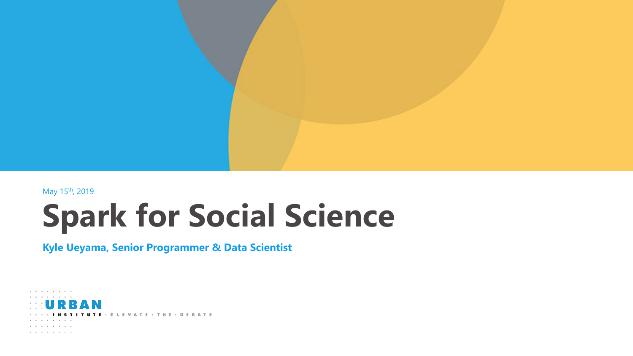

May 15th, 2019

# **Spark for Social Science**

#### **Kyle Ueyama, Senior Programmer & Data Scientist**

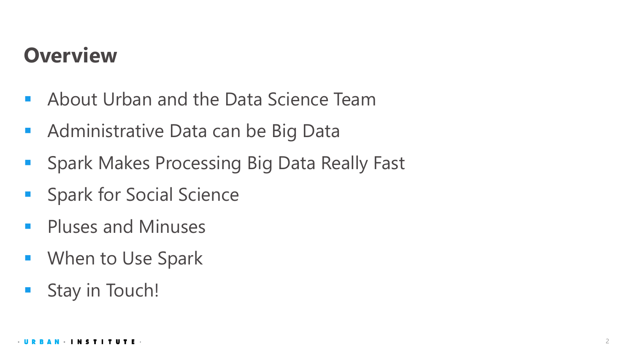## **Overview**

- **About Urban and the Data Science Team**
- **Administrative Data can be Big Data**
- **Spark Makes Processing Big Data Really Fast**
- **Spark for Social Science**
- Pluses and Minuses
- **Numeral Use Spark**
- Stay in Touch!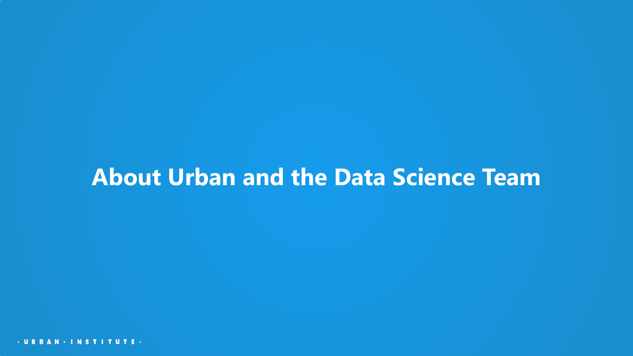## **About Urban and the Data Science Team**

**· U R R A N · I N S T I T U T E ·**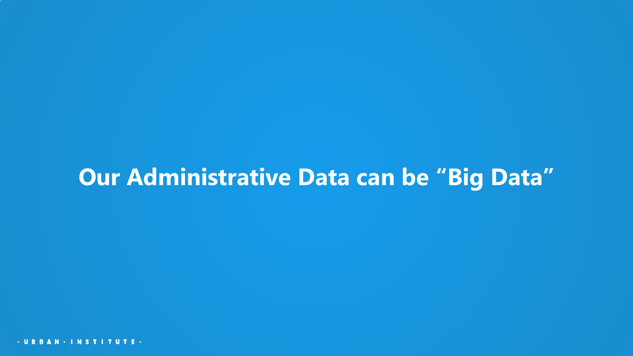# **Our Administrative Data can be "Big Data"**

**· U R R A N · I N S T I T U T E ·**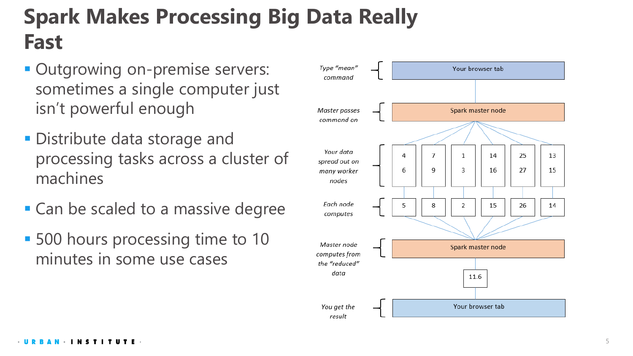# **Spark Makes Processing Big Data Really Fast**

- Outgrowing on-premise servers: sometimes a single computer just isn't powerful enough
- **Distribute data storage and** processing tasks across a cluster of machines
- Can be scaled to a massive degree
- 500 hours processing time to 10 minutes in some use cases

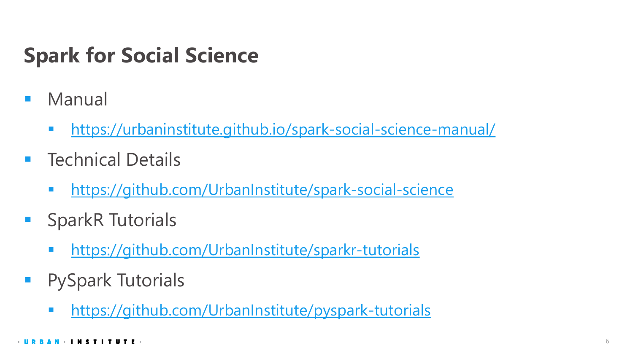# **Spark for Social Science**

- Manual
	- <https://urbaninstitute.github.io/spark-social-science-manual/>
- Technical Details
	- **<https://github.com/UrbanInstitute/spark-social-science>**
- **SparkR Tutorials** 
	- **<https://github.com/UrbanInstitute/sparkr-tutorials>**
- PySpark Tutorials
	- **<https://github.com/UrbanInstitute/pyspark-tutorials>**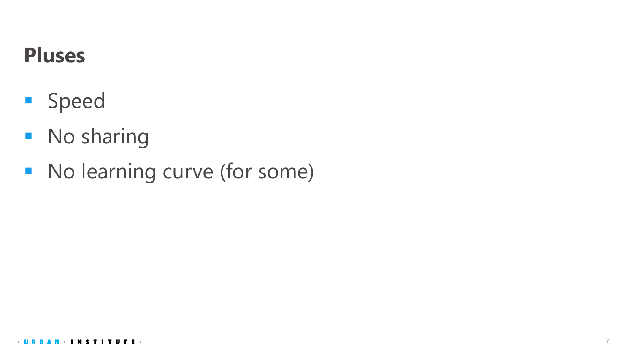#### **Pluses**

- **Speed**
- **No sharing**
- No learning curve (for some)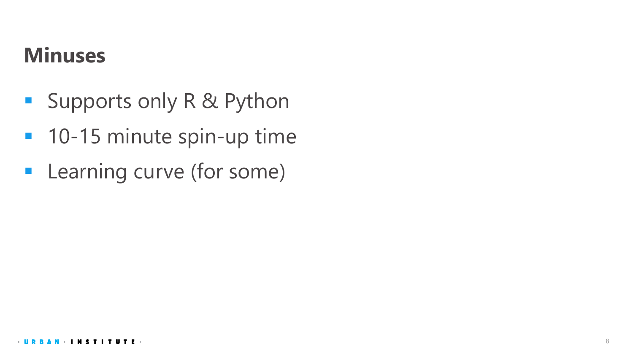#### **Minuses**

- **Supports only R & Python**
- **10-15 minute spin-up time**
- **-** Learning curve (for some)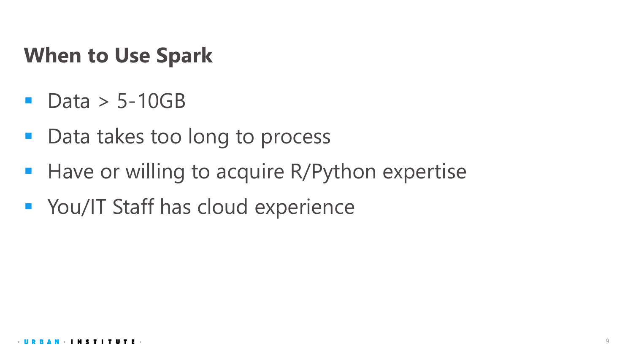#### **When to Use Spark**

- Data > 5-10GB
- Data takes too long to process
- **Have or willing to acquire R/Python expertise**
- **You/IT Staff has cloud experience**